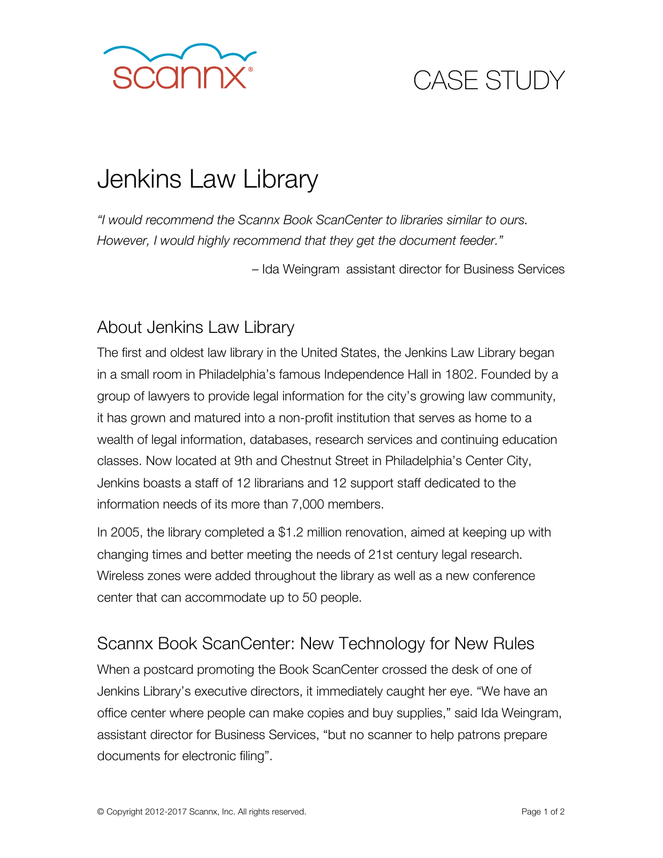

## CASE STUDY

# Jenkins Law Library

*"I would recommend the Scannx Book ScanCenter to libraries similar to ours. However, I would highly recommend that they get the document feeder."* 

– Ida Weingram assistant director for Business Services

### About Jenkins Law Library

The first and oldest law library in the United States, the Jenkins Law Library began in a small room in Philadelphia's famous Independence Hall in 1802. Founded by a group of lawyers to provide legal information for the city's growing law community, it has grown and matured into a non-profit institution that serves as home to a wealth of legal information, databases, research services and continuing education classes. Now located at 9th and Chestnut Street in Philadelphia's Center City, Jenkins boasts a staff of 12 librarians and 12 support staff dedicated to the information needs of its more than 7,000 members.

In 2005, the library completed a \$1.2 million renovation, aimed at keeping up with changing times and better meeting the needs of 21st century legal research. Wireless zones were added throughout the library as well as a new conference center that can accommodate up to 50 people.

#### Scannx Book ScanCenter: New Technology for New Rules

When a postcard promoting the Book ScanCenter crossed the desk of one of Jenkins Library's executive directors, it immediately caught her eye. "We have an office center where people can make copies and buy supplies," said Ida Weingram, assistant director for Business Services, "but no scanner to help patrons prepare documents for electronic filing".